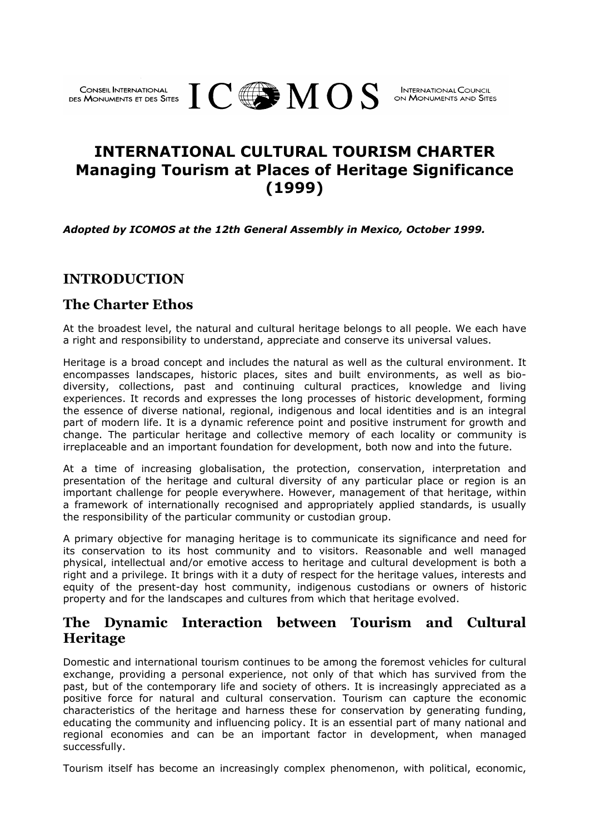# **INTERNATIONAL CULTURAL TOURISM CHARTER Managing Tourism at Places of Heritage Significance (1999)**

*Adopted by ICOMOS at the 12th General Assembly in Mexico, October 1999.* 

DES MONUMENTS ET DES SITES  $\rm I\!\!\!C$  and  $\rm M\,OS$ 

## **INTRODUCTION**

#### **The Charter Ethos**

At the broadest level, the natural and cultural heritage belongs to all people. We each have a right and responsibility to understand, appreciate and conserve its universal values.

Heritage is a broad concept and includes the natural as well as the cultural environment. It encompasses landscapes, historic places, sites and built environments, as well as biodiversity, collections, past and continuing cultural practices, knowledge and living experiences. It records and expresses the long processes of historic development, forming the essence of diverse national, regional, indigenous and local identities and is an integral part of modern life. It is a dynamic reference point and positive instrument for growth and change. The particular heritage and collective memory of each locality or community is irreplaceable and an important foundation for development, both now and into the future.

At a time of increasing globalisation, the protection, conservation, interpretation and presentation of the heritage and cultural diversity of any particular place or region is an important challenge for people everywhere. However, management of that heritage, within a framework of internationally recognised and appropriately applied standards, is usually the responsibility of the particular community or custodian group.

A primary objective for managing heritage is to communicate its significance and need for its conservation to its host community and to visitors. Reasonable and well managed physical, intellectual and/or emotive access to heritage and cultural development is both a right and a privilege. It brings with it a duty of respect for the heritage values, interests and equity of the present-day host community, indigenous custodians or owners of historic property and for the landscapes and cultures from which that heritage evolved.

## **The Dynamic Interaction between Tourism and Cultural Heritage**

Domestic and international tourism continues to be among the foremost vehicles for cultural exchange, providing a personal experience, not only of that which has survived from the past, but of the contemporary life and society of others. It is increasingly appreciated as a positive force for natural and cultural conservation. Tourism can capture the economic characteristics of the heritage and harness these for conservation by generating funding, educating the community and influencing policy. It is an essential part of many national and regional economies and can be an important factor in development, when managed successfully.

Tourism itself has become an increasingly complex phenomenon, with political, economic,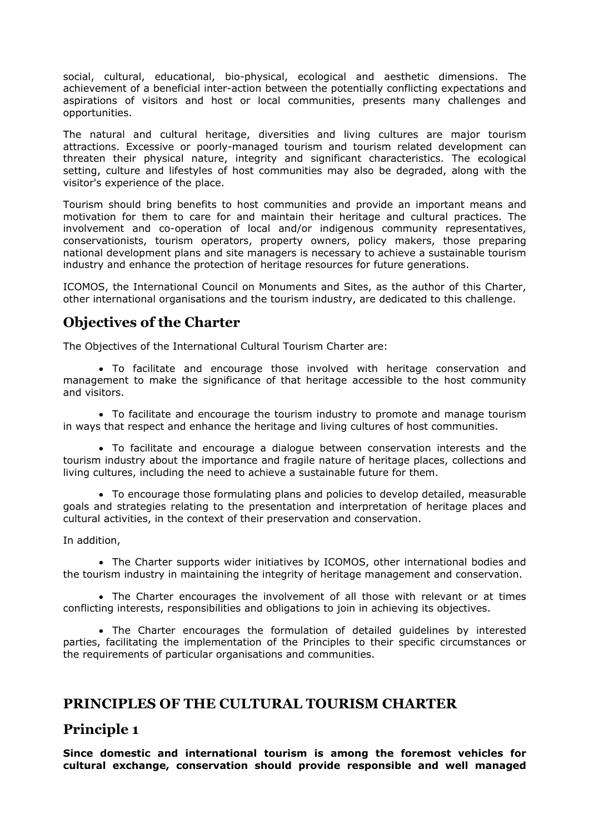social, cultural, educational, bio-physical, ecological and aesthetic dimensions. The achievement of a beneficial inter-action between the potentially conflicting expectations and aspirations of visitors and host or local communities, presents many challenges and opportunities.

The natural and cultural heritage, diversities and living cultures are major tourism attractions. Excessive or poorly-managed tourism and tourism related development can threaten their physical nature, integrity and significant characteristics. The ecological setting, culture and lifestyles of host communities may also be degraded, along with the visitor's experience of the place.

Tourism should bring benefits to host communities and provide an important means and motivation for them to care for and maintain their heritage and cultural practices. The involvement and co-operation of local and/or indigenous community representatives, conservationists, tourism operators, property owners, policy makers, those preparing national development plans and site managers is necessary to achieve a sustainable tourism industry and enhance the protection of heritage resources for future generations.

ICOMOS, the International Council on Monuments and Sites, as the author of this Charter, other international organisations and the tourism industry, are dedicated to this challenge.

# **Objectives of the Charter**

The Objectives of the International Cultural Tourism Charter are:

• To facilitate and encourage those involved with heritage conservation and management to make the significance of that heritage accessible to the host community and visitors.

• To facilitate and encourage the tourism industry to promote and manage tourism in ways that respect and enhance the heritage and living cultures of host communities.

• To facilitate and encourage a dialogue between conservation interests and the tourism industry about the importance and fragile nature of heritage places, collections and living cultures, including the need to achieve a sustainable future for them.

• To encourage those formulating plans and policies to develop detailed, measurable goals and strategies relating to the presentation and interpretation of heritage places and cultural activities, in the context of their preservation and conservation.

In addition,

• The Charter supports wider initiatives by ICOMOS, other international bodies and the tourism industry in maintaining the integrity of heritage management and conservation.

• The Charter encourages the involvement of all those with relevant or at times conflicting interests, responsibilities and obligations to join in achieving its objectives.

• The Charter encourages the formulation of detailed guidelines by interested parties, facilitating the implementation of the Principles to their specific circumstances or the requirements of particular organisations and communities.

## **PRINCIPLES OF THE CULTURAL TOURISM CHARTER**

## **Principle 1**

**Since domestic and international tourism is among the foremost vehicles for cultural exchange, conservation should provide responsible and well managed**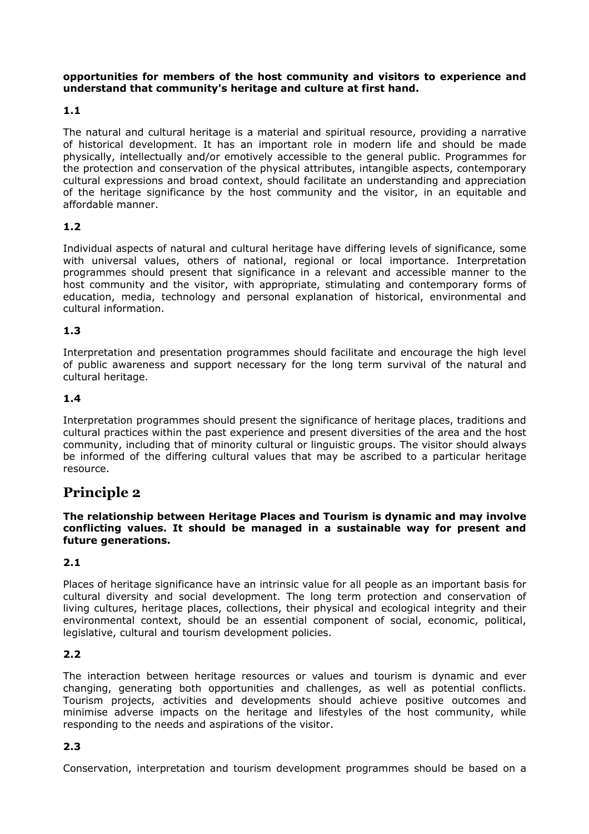#### **opportunities for members of the host community and visitors to experience and understand that community's heritage and culture at first hand.**

#### **1.1**

The natural and cultural heritage is a material and spiritual resource, providing a narrative of historical development. It has an important role in modern life and should be made physically, intellectually and/or emotively accessible to the general public. Programmes for the protection and conservation of the physical attributes, intangible aspects, contemporary cultural expressions and broad context, should facilitate an understanding and appreciation of the heritage significance by the host community and the visitor, in an equitable and affordable manner.

#### **1.2**

Individual aspects of natural and cultural heritage have differing levels of significance, some with universal values, others of national, regional or local importance. Interpretation programmes should present that significance in a relevant and accessible manner to the host community and the visitor, with appropriate, stimulating and contemporary forms of education, media, technology and personal explanation of historical, environmental and cultural information.

#### **1.3**

Interpretation and presentation programmes should facilitate and encourage the high level of public awareness and support necessary for the long term survival of the natural and cultural heritage.

#### **1.4**

Interpretation programmes should present the significance of heritage places, traditions and cultural practices within the past experience and present diversities of the area and the host community, including that of minority cultural or linguistic groups. The visitor should always be informed of the differing cultural values that may be ascribed to a particular heritage resource.

# **Principle 2**

**The relationship between Heritage Places and Tourism is dynamic and may involve conflicting values. It should be managed in a sustainable way for present and future generations.**

#### **2.1**

Places of heritage significance have an intrinsic value for all people as an important basis for cultural diversity and social development. The long term protection and conservation of living cultures, heritage places, collections, their physical and ecological integrity and their environmental context, should be an essential component of social, economic, political, legislative, cultural and tourism development policies.

#### **2.2**

The interaction between heritage resources or values and tourism is dynamic and ever changing, generating both opportunities and challenges, as well as potential conflicts. Tourism projects, activities and developments should achieve positive outcomes and minimise adverse impacts on the heritage and lifestyles of the host community, while responding to the needs and aspirations of the visitor.

#### **2.3**

Conservation, interpretation and tourism development programmes should be based on a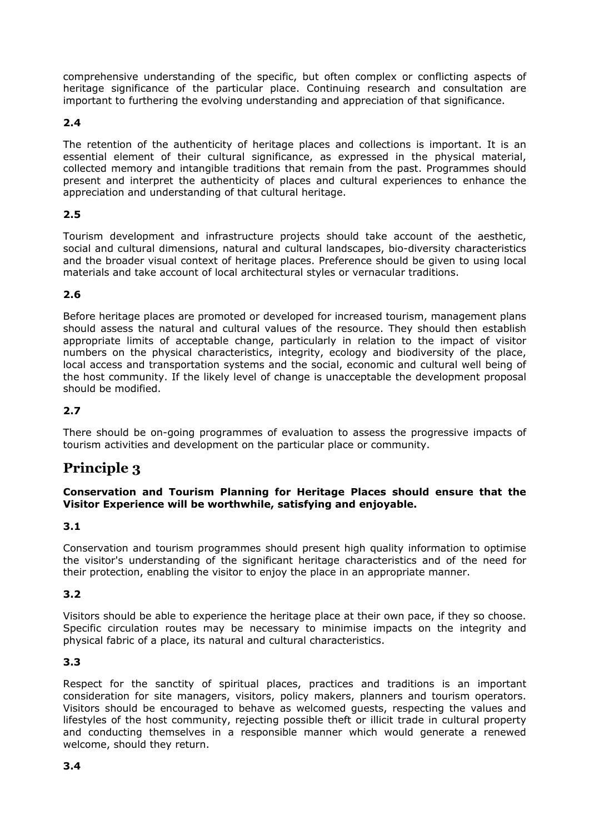comprehensive understanding of the specific, but often complex or conflicting aspects of heritage significance of the particular place. Continuing research and consultation are important to furthering the evolving understanding and appreciation of that significance.

#### **2.4**

The retention of the authenticity of heritage places and collections is important. It is an essential element of their cultural significance, as expressed in the physical material, collected memory and intangible traditions that remain from the past. Programmes should present and interpret the authenticity of places and cultural experiences to enhance the appreciation and understanding of that cultural heritage.

## **2.5**

Tourism development and infrastructure projects should take account of the aesthetic, social and cultural dimensions, natural and cultural landscapes, bio-diversity characteristics and the broader visual context of heritage places. Preference should be given to using local materials and take account of local architectural styles or vernacular traditions.

## **2.6**

Before heritage places are promoted or developed for increased tourism, management plans should assess the natural and cultural values of the resource. They should then establish appropriate limits of acceptable change, particularly in relation to the impact of visitor numbers on the physical characteristics, integrity, ecology and biodiversity of the place, local access and transportation systems and the social, economic and cultural well being of the host community. If the likely level of change is unacceptable the development proposal should be modified.

## **2.7**

There should be on-going programmes of evaluation to assess the progressive impacts of tourism activities and development on the particular place or community.

# **Principle 3**

#### **Conservation and Tourism Planning for Heritage Places should ensure that the Visitor Experience will be worthwhile, satisfying and enjoyable.**

#### **3.1**

Conservation and tourism programmes should present high quality information to optimise the visitor's understanding of the significant heritage characteristics and of the need for their protection, enabling the visitor to enjoy the place in an appropriate manner.

#### **3.2**

Visitors should be able to experience the heritage place at their own pace, if they so choose. Specific circulation routes may be necessary to minimise impacts on the integrity and physical fabric of a place, its natural and cultural characteristics.

#### **3.3**

Respect for the sanctity of spiritual places, practices and traditions is an important consideration for site managers, visitors, policy makers, planners and tourism operators. Visitors should be encouraged to behave as welcomed guests, respecting the values and lifestyles of the host community, rejecting possible theft or illicit trade in cultural property and conducting themselves in a responsible manner which would generate a renewed welcome, should they return.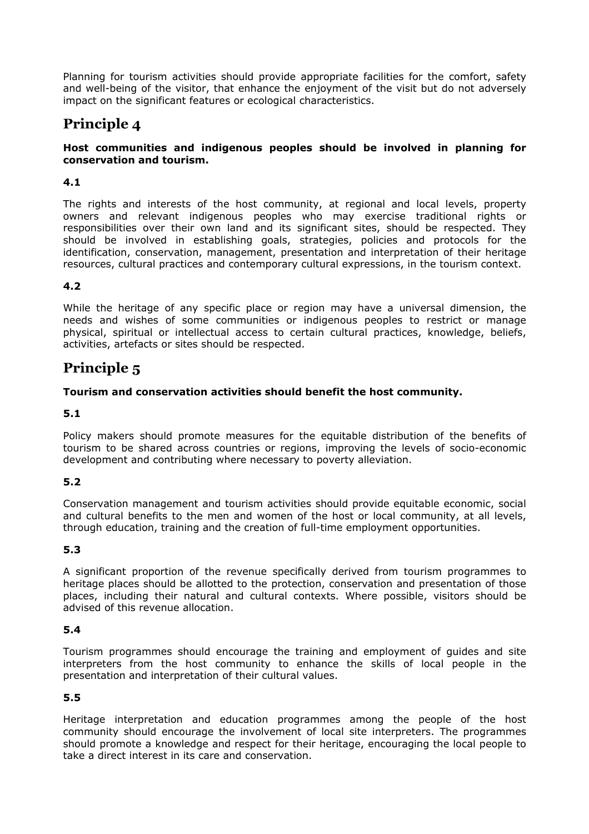Planning for tourism activities should provide appropriate facilities for the comfort, safety and well-being of the visitor, that enhance the enjoyment of the visit but do not adversely impact on the significant features or ecological characteristics.

# **Principle 4**

#### **Host communities and indigenous peoples should be involved in planning for conservation and tourism.**

#### **4.1**

The rights and interests of the host community, at regional and local levels, property owners and relevant indigenous peoples who may exercise traditional rights or responsibilities over their own land and its significant sites, should be respected. They should be involved in establishing goals, strategies, policies and protocols for the identification, conservation, management, presentation and interpretation of their heritage resources, cultural practices and contemporary cultural expressions, in the tourism context.

## **4.2**

While the heritage of any specific place or region may have a universal dimension, the needs and wishes of some communities or indigenous peoples to restrict or manage physical, spiritual or intellectual access to certain cultural practices, knowledge, beliefs, activities, artefacts or sites should be respected.

# **Principle 5**

#### **Tourism and conservation activities should benefit the host community.**

## **5.1**

Policy makers should promote measures for the equitable distribution of the benefits of tourism to be shared across countries or regions, improving the levels of socio-economic development and contributing where necessary to poverty alleviation.

#### **5.2**

Conservation management and tourism activities should provide equitable economic, social and cultural benefits to the men and women of the host or local community, at all levels, through education, training and the creation of full-time employment opportunities.

#### **5.3**

A significant proportion of the revenue specifically derived from tourism programmes to heritage places should be allotted to the protection, conservation and presentation of those places, including their natural and cultural contexts. Where possible, visitors should be advised of this revenue allocation.

#### **5.4**

Tourism programmes should encourage the training and employment of guides and site interpreters from the host community to enhance the skills of local people in the presentation and interpretation of their cultural values.

## **5.5**

Heritage interpretation and education programmes among the people of the host community should encourage the involvement of local site interpreters. The programmes should promote a knowledge and respect for their heritage, encouraging the local people to take a direct interest in its care and conservation.